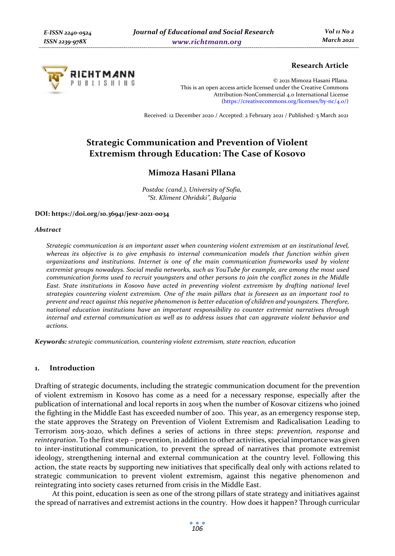

# **Research Article**

© 2021 Mimoza Hasani Pllana. This is an open access article licensed under the Creative Commons Attribution-NonCommercial 4.0 International License (https://creativecommons.org/licenses/by-nc/4.0/)

Received: 12 December 2020 / Accepted: 2 February 2021 / Published: 5 March 2021

# **Strategic Communication and Prevention of Violent Extremism through Education: The Case of Kosovo**

# **Mimoza Hasani Pllana**

*Postdoc (cand.), University of Sofia, "St. Kliment Ohridski", Bulgaria* 

#### **DOI: https://doi.org/10.36941/jesr-2021-0034**

#### *Abstract*

*Strategic communication is an important asset when countering violent extremism at an institutional level, whereas its objective is to give emphasis to internal communication models that function within given organizations and institutions. Internet is one of the main communication frameworks used by violent extremist groups nowadays. Social media networks, such as YouTube for example, are among the most used communication forms used to recruit youngsters and other persons to join the conflict zones in the Middle East. State institutions in Kosovo have acted in preventing violent extremism by drafting national level strategies countering violent extremism. One of the main pillars that is foreseen as an important tool to prevent and react against this negative phenomenon is better education of children and youngsters. Therefore, national education institutions have an important responsibility to counter extremist narratives through internal and external communication as well as to address issues that can aggravate violent behavior and actions.* 

*Keywords: strategic communication, countering violent extremism, state reaction, education* 

### **1. Introduction**

Drafting of strategic documents, including the strategic communication document for the prevention of violent extremism in Kosovo has come as a need for a necessary response, especially after the publication of international and local reports in 2015 when the number of Kosovar citizens who joined the fighting in the Middle East has exceeded number of 200. This year, as an emergency response step, the state approves the Strategy on Prevention of Violent Extremism and Radicalisation Leading to Terrorism 2015-2020, which defines a series of actions in three steps: *prevention, response* and *reintegration*. To the first step – prevention, in addition to other activities, special importance was given to inter-institutional communication, to prevent the spread of narratives that promote extremist ideology, strengthening internal and external communication at the country level. Following this action, the state reacts by supporting new initiatives that specifically deal only with actions related to strategic communication to prevent violent extremism, against this negative phenomenon and reintegrating into society cases returned from crisis in the Middle East.

At this point, education is seen as one of the strong pillars of state strategy and initiatives against the spread of narratives and extremist actions in the country. How does it happen? Through curricular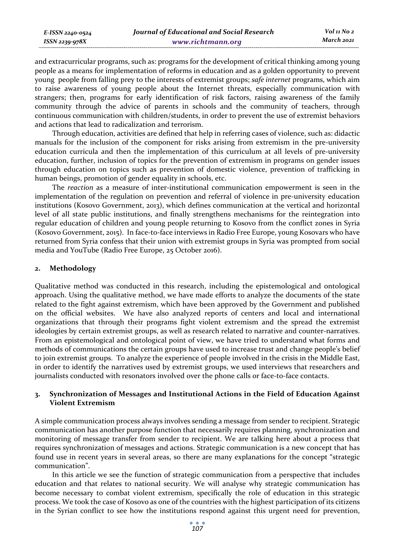| E-ISSN 2240-0524    | Journal of Educational and Social Research | Vol 11 No 2 |
|---------------------|--------------------------------------------|-------------|
| $ISSN$ 2239-97 $8X$ | www.richtmann.org                          | March 2021  |

and extracurricular programs, such as: programs for the development of critical thinking among young people as a means for implementation of reforms in education and as a golden opportunity to prevent young people from falling prey to the interests of extremist groups; *safe internet* programs, which aim to raise awareness of young people about the Internet threats, especially communication with strangers; then, programs for early identification of risk factors, raising awareness of the family community through the advice of parents in schools and the community of teachers, through continuous communication with children/students, in order to prevent the use of extremist behaviors and actions that lead to radicalization and terrorism.

Through education, activities are defined that help in referring cases of violence, such as: didactic manuals for the inclusion of the component for risks arising from extremism in the pre-university education curricula and then the implementation of this curriculum at all levels of pre-university education, further, inclusion of topics for the prevention of extremism in programs on gender issues through education on topics such as prevention of domestic violence, prevention of trafficking in human beings, promotion of gender equality in schools, etc.

The *reaction* as a measure of inter-institutional communication empowerment is seen in the implementation of the regulation on prevention and referral of violence in pre-university education institutions (Kosovo Government, 2013), which defines communication at the vertical and horizontal level of all state public institutions, and finally strengthens mechanisms for the reintegration into regular education of children and young people returning to Kosovo from the conflict zones in Syria (Kosovo Government, 2015). In face-to-face interviews in Radio Free Europe, young Kosovars who have returned from Syria confess that their union with extremist groups in Syria was prompted from social media and YouTube (Radio Free Europe, 25 October 2016).

### **2. Methodology**

Qualitative method was conducted in this research, including the epistemological and ontological approach. Using the qualitative method, we have made efforts to analyze the documents of the state related to the fight against extremism, which have been approved by the Government and published on the official websites. We have also analyzed reports of centers and local and international organizations that through their programs fight violent extremism and the spread the extremist ideologies by certain extremist groups, as well as research related to narrative and counter-narratives. From an epistemological and ontological point of view, we have tried to understand what forms and methods of communications the certain groups have used to increase trust and change people's belief to join extremist groups. To analyze the experience of people involved in the crisis in the Middle East, in order to identify the narratives used by extremist groups, we used interviews that researchers and journalists conducted with resonators involved over the phone calls or face-to-face contacts.

# **3. Synchronization of Messages and Institutional Actions in the Field of Education Against Violent Extremism**

A simple communication process always involves sending a message from sender to recipient. Strategic communication has another purpose function that necessarily requires planning, synchronization and monitoring of message transfer from sender to recipient. We are talking here about a process that requires synchronization of messages and actions. Strategic communication is a new concept that has found use in recent years in several areas, so there are many explanations for the concept "strategic communication".

In this article we see the function of strategic communication from a perspective that includes education and that relates to national security. We will analyse why strategic communication has become necessary to combat violent extremism, specifically the role of education in this strategic process. We took the case of Kosovo as one of the countries with the highest participation of its citizens in the Syrian conflict to see how the institutions respond against this urgent need for prevention,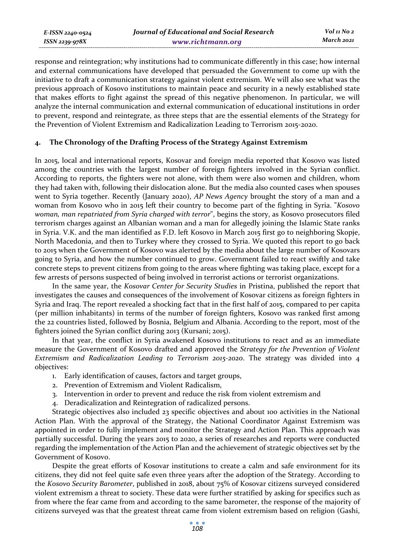response and reintegration; why institutions had to communicate differently in this case; how internal and external communications have developed that persuaded the Government to come up with the initiative to draft a communication strategy against violent extremism. We will also see what was the previous approach of Kosovo institutions to maintain peace and security in a newly established state that makes efforts to fight against the spread of this negative phenomenon. In particular, we will analyze the internal communication and external communication of educational institutions in order to prevent, respond and reintegrate, as three steps that are the essential elements of the Strategy for the Prevention of Violent Extremism and Radicalization Leading to Terrorism 2015-2020.

# **4. The Chronology of the Drafting Process of the Strategy Against Extremism**

In 2015, local and international reports, Kosovar and foreign media reported that Kosovo was listed among the countries with the largest number of foreign fighters involved in the Syrian conflict. According to reports, the fighters were not alone, with them were also women and children, whom they had taken with, following their dislocation alone. But the media also counted cases when spouses went to Syria together. Recently (January 2020), *AP News Agency* brought the story of a man and a woman from Kosovo who in 2015 left their country to become part of the fighting in Syria. "*Kosovo woman, man repatriated from Syria charged with terror*", begins the story, as Kosovo prosecutors filed terrorism charges against an Albanian woman and a man for allegedly joining the Islamic State ranks in Syria. V.K. and the man identified as F.D. left Kosovo in March 2015 first go to neighboring Skopje, North Macedonia, and then to Turkey where they crossed to Syria. We quoted this report to go back to 2015 when the Government of Kosovo was alerted by the media about the large number of Kosovars going to Syria, and how the number continued to grow. Government failed to react swiftly and take concrete steps to prevent citizens from going to the areas where fighting was taking place, except for a few arrests of persons suspected of being involved in terrorist actions or terrorist organizations.

In the same year, the *Kosovar Center for Security Studies* in Pristina, published the report that investigates the causes and consequences of the involvement of Kosovar citizens as foreign fighters in Syria and Iraq. The report revealed a shocking fact that in the first half of 2015, compared to per capita (per million inhabitants) in terms of the number of foreign fighters, Kosovo was ranked first among the 22 countries listed, followed by Bosnia, Belgium and Albania. According to the report, most of the fighters joined the Syrian conflict during 2013 (Kursani; 2015).

In that year, the conflict in Syria awakened Kosovo institutions to react and as an immediate measure the Government of Kosovo drafted and approved the *Strategy for the Prevention of Violent Extremism and Radicalization Leading to Terrorism 2015-2020*. The strategy was divided into 4 objectives:

- 1. Early identification of causes, factors and target groups,
- 2. Prevention of Extremism and Violent Radicalism,
- 3. Intervention in order to prevent and reduce the risk from violent extremism and
- 4. Deradicalization and Reintegration of radicalized persons.

Strategic objectives also included 23 specific objectives and about 100 activities in the National Action Plan. With the approval of the Strategy, the National Coordinator Against Extremism was appointed in order to fully implement and monitor the Strategy and Action Plan. This approach was partially successful. During the years 2015 to 2020, a series of researches and reports were conducted regarding the implementation of the Action Plan and the achievement of strategic objectives set by the Government of Kosovo.

Despite the great efforts of Kosovar institutions to create a calm and safe environment for its citizens, they did not feel quite safe even three years after the adoption of the Strategy. According to the *Kosovo Security Barometer*, published in 2018, about 75% of Kosovar citizens surveyed considered violent extremism a threat to society. These data were further stratified by asking for specifics such as from where the fear came from and according to the same barometer, the response of the majority of citizens surveyed was that the greatest threat came from violent extremism based on religion (Gashi,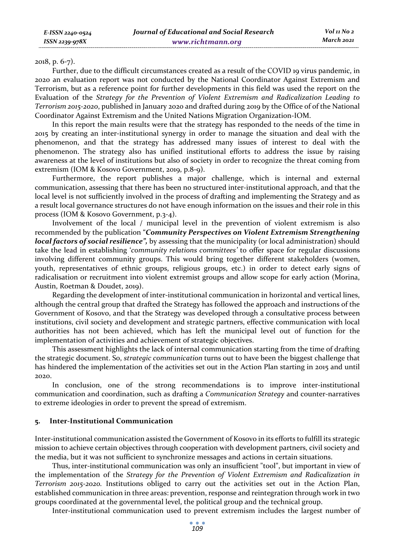#### 2018, p. 6-7).

Further, due to the difficult circumstances created as a result of the COVID 19 virus pandemic, in 2020 an evaluation report was not conducted by the National Coordinator Against Extremism and Terrorism, but as a reference point for further developments in this field was used the report on the Evaluation of the *Strategy for the Prevention of Violent Extremism and Radicalization Leading to Terrorism 2015-2020*, published in January 2020 and drafted during 2019 by the Office of of the National Coordinator Against Extremism and the United Nations Migration Organization-IOM.

In this report the main results were that the strategy has responded to the needs of the time in 2015 by creating an inter-institutional synergy in order to manage the situation and deal with the phenomenon, and that the strategy has addressed many issues of interest to deal with the phenomenon. The strategy also has unified institutional efforts to address the issue by raising awareness at the level of institutions but also of society in order to recognize the threat coming from extremism (IOM & Kosovo Government, 2019, p.8-9).

Furthermore, the report publishes a major challenge, which is internal and external communication, assessing that there has been no structured inter-institutional approach, and that the local level is not sufficiently involved in the process of drafting and implementing the Strategy and as a result local governance structures do not have enough information on the issues and their role in this process (IOM & Kosovo Government, p.3-4).

Involvement of the local / municipal level in the prevention of violent extremism is also recommended by the publication "*Community Perspectives on Violent Extremism Strengthening local factors of social resilience*", by assessing that the municipality (or local administration) should take the lead in establishing '*community relations committees'* to offer space for regular discussions involving different community groups. This would bring together different stakeholders (women, youth, representatives of ethnic groups, religious groups, etc.) in order to detect early signs of radicalisation or recruitment into violent extremist groups and allow scope for early action (Morina, Austin, Roetman & Doudet, 2019).

Regarding the development of inter-institutional communication in horizontal and vertical lines, although the central group that drafted the Strategy has followed the approach and instructions of the Government of Kosovo, and that the Strategy was developed through a consultative process between institutions, civil society and development and strategic partners, effective communication with local authorities has not been achieved, which has left the municipal level out of function for the implementation of activities and achievement of strategic objectives.

This assessment highlights the lack of internal communication starting from the time of drafting the strategic document. So, *strategic communication* turns out to have been the biggest challenge that has hindered the implementation of the activities set out in the Action Plan starting in 2015 and until 2020.

In conclusion, one of the strong recommendations is to improve inter-institutional communication and coordination, such as drafting a *Communication Strategy* and counter-narratives to extreme ideologies in order to prevent the spread of extremism.

# **5. Inter-Institutional Communication**

Inter-institutional communication assisted the Government of Kosovo in its efforts to fulfill its strategic mission to achieve certain objectives through cooperation with development partners, civil society and the media, but it was not sufficient to synchronize messages and actions in certain situations.

Thus, inter-institutional communication was only an insufficient "tool", but important in view of the implementation of the *Strategy for the Prevention of Violent Extremism and Radicalization in Terrorism 2015-2020.* Institutions obliged to carry out the activities set out in the Action Plan, established communication in three areas: prevention, response and reintegration through work in two groups coordinated at the governmental level, the political group and the technical group.

Inter-institutional communication used to prevent extremism includes the largest number of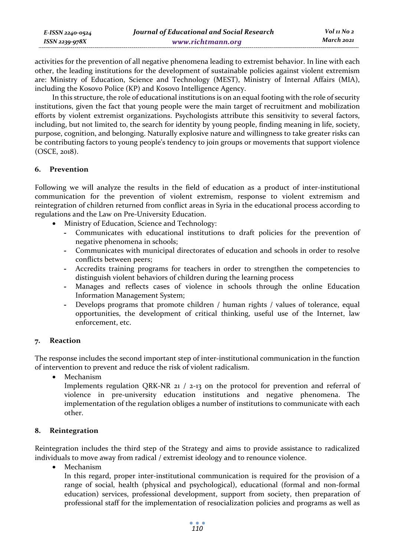| E-ISSN 2240-0524 | Journal of Educational and Social Research | Vol 11 No 2 |
|------------------|--------------------------------------------|-------------|
| ISSN 2239-978X   | www.richtmann.org                          | March 2021  |

activities for the prevention of all negative phenomena leading to extremist behavior. In line with each other, the leading institutions for the development of sustainable policies against violent extremism are: Ministry of Education, Science and Technology (MEST), Ministry of Internal Affairs (MIA), including the Kosovo Police (KP) and Kosovo Intelligence Agency.

In this structure, the role of educational institutions is on an equal footing with the role of security institutions, given the fact that young people were the main target of recruitment and mobilization efforts by violent extremist organizations. Psychologists attribute this sensitivity to several factors, including, but not limited to, the search for identity by young people, finding meaning in life, society, purpose, cognition, and belonging. Naturally explosive nature and willingness to take greater risks can be contributing factors to young people's tendency to join groups or movements that support violence (OSCE, 2018).

# **6. Prevention**

Following we will analyze the results in the field of education as a product of inter-institutional communication for the prevention of violent extremism, response to violent extremism and reintegration of children returned from conflict areas in Syria in the educational process according to regulations and the Law on Pre-University Education.

- Ministry of Education, Science and Technology:
	- **-** Communicates with educational institutions to draft policies for the prevention of negative phenomena in schools;
	- **-** Communicates with municipal directorates of education and schools in order to resolve conflicts between peers;
	- **-** Accredits training programs for teachers in order to strengthen the competencies to distinguish violent behaviors of children during the learning process
	- **-** Manages and reflects cases of violence in schools through the online Education Information Management System;
	- **-** Develops programs that promote children / human rights / values of tolerance, equal opportunities, the development of critical thinking, useful use of the Internet, law enforcement, etc.

# **7. Reaction**

The response includes the second important step of inter-institutional communication in the function of intervention to prevent and reduce the risk of violent radicalism.

**Mechanism** 

Implements regulation QRK-NR 21 / 2-13 on the protocol for prevention and referral of violence in pre-university education institutions and negative phenomena. The implementation of the regulation obliges a number of institutions to communicate with each other.

# **8. Reintegration**

Reintegration includes the third step of the Strategy and aims to provide assistance to radicalized individuals to move away from radical / extremist ideology and to renounce violence.

• Mechanism

In this regard, proper inter-institutional communication is required for the provision of a range of social, health (physical and psychological), educational (formal and non-formal education) services, professional development, support from society, then preparation of professional staff for the implementation of resocialization policies and programs as well as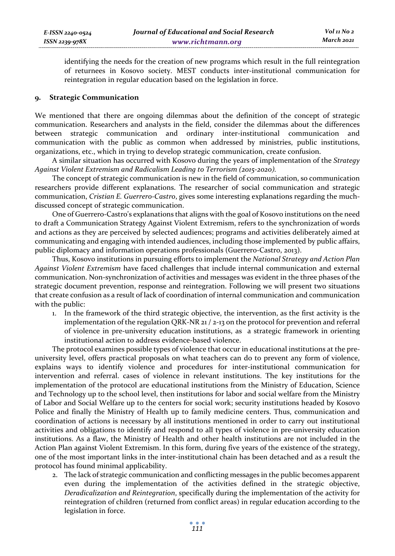identifying the needs for the creation of new programs which result in the full reintegration of returnees in Kosovo society. MEST conducts inter-institutional communication for reintegration in regular education based on the legislation in force.

#### **9. Strategic Communication**

We mentioned that there are ongoing dilemmas about the definition of the concept of strategic communication. Researchers and analysts in the field, consider the dilemmas about the differences between strategic communication and ordinary inter-institutional communication and communication with the public as common when addressed by ministries, public institutions, organizations, etc., which in trying to develop strategic communication, create confusion.

A similar situation has occurred with Kosovo during the years of implementation of the *Strategy Against Violent Extremism and Radicalism Leading to Terrorism (2015-2020).*

The concept of strategic communication is new in the field of communication, so communication researchers provide different explanations. The researcher of social communication and strategic communication, *Cristian E. Guerrero-Castro*, gives some interesting explanations regarding the muchdiscussed concept of strategic communication.

One of Guerrero-Castro's explanations that aligns with the goal of Kosovo institutions on the need to draft a Communication Strategy Against Violent Extremism, refers to the synchronization of words and actions as they are perceived by selected audiences; programs and activities deliberately aimed at communicating and engaging with intended audiences, including those implemented by public affairs, public diplomacy and information operations professionals (Guerrero-Castro, 2013).

Thus, Kosovo institutions in pursuing efforts to implement the *National Strategy and Action Plan Against Violent Extremism* have faced challenges that include internal communication and external communication. Non-synchronization of activities and messages was evident in the three phases of the strategic document prevention, response and reintegration. Following we will present two situations that create confusion as a result of lack of coordination of internal communication and communication with the public:

1. In the framework of the third strategic objective, the intervention, as the first activity is the implementation of the regulation QRK-NR 21 / 2-13 on the protocol for prevention and referral of violence in pre-university education institutions, as a strategic framework in orienting institutional action to address evidence-based violence.

The protocol examines possible types of violence that occur in educational institutions at the preuniversity level, offers practical proposals on what teachers can do to prevent any form of violence, explains ways to identify violence and procedures for inter-institutional communication for intervention and referral. cases of violence in relevant institutions. The key institutions for the implementation of the protocol are educational institutions from the Ministry of Education, Science and Technology up to the school level, then institutions for labor and social welfare from the Ministry of Labor and Social Welfare up to the centers for social work; security institutions headed by Kosovo Police and finally the Ministry of Health up to family medicine centers. Thus, communication and coordination of actions is necessary by all institutions mentioned in order to carry out institutional activities and obligations to identify and respond to all types of violence in pre-university education institutions. As a flaw, the Ministry of Health and other health institutions are not included in the Action Plan against Violent Extremism. In this form, during five years of the existence of the strategy, one of the most important links in the inter-institutional chain has been detached and as a result the protocol has found minimal applicability.

2. The lack of strategic communication and conflicting messages in the public becomes apparent even during the implementation of the activities defined in the strategic objective, *Deradicalization and Reintegration*, specifically during the implementation of the activity for reintegration of children (returned from conflict areas) in regular education according to the legislation in force.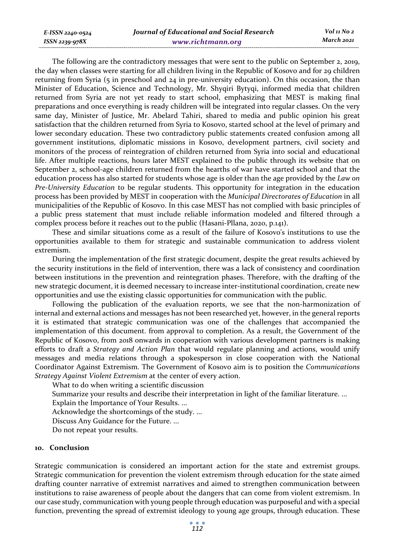*E-ISSN 2240-0524 ISSN 2239-978X*

The following are the contradictory messages that were sent to the public on September 2, 2019, the day when classes were starting for all children living in the Republic of Kosovo and for 29 children returning from Syria (5 in preschool and 24 in pre-university education). On this occasion, the than Minister of Education, Science and Technology, Mr. Shyqiri Bytyqi, informed media that children returned from Syria are not yet ready to start school, emphasizing that MEST is making final preparations and once everything is ready children will be integrated into regular classes. On the very same day, Minister of Justice, Mr. Abelard Tahiri, shared to media and public opinion his great satisfaction that the children returned from Syria to Kosovo, started school at the level of primary and lower secondary education. These two contradictory public statements created confusion among all government institutions, diplomatic missions in Kosovo, development partners, civil society and monitors of the process of reintegration of children returned from Syria into social and educational life. After multiple reactions, hours later MEST explained to the public through its website that on September 2, school-age children returned from the hearths of war have started school and that the education process has also started for students whose age is older than the age provided by the *Law on Pre-University Education* to be regular students. This opportunity for integration in the education process has been provided by MEST in cooperation with the *Municipal Directorates of Education* in all municipalities of the Republic of Kosovo. In this case MEST has not complied with basic principles of a public press statement that must include reliable information modeled and filtered through a complex process before it reaches out to the public (Hasani-Pllana, 2020, p.141).

These and similar situations come as a result of the failure of Kosovo's institutions to use the opportunities available to them for strategic and sustainable communication to address violent extremism.

During the implementation of the first strategic document, despite the great results achieved by the security institutions in the field of intervention, there was a lack of consistency and coordination between institutions in the prevention and reintegration phases. Therefore, with the drafting of the new strategic document, it is deemed necessary to increase inter-institutional coordination, create new opportunities and use the existing classic opportunities for communication with the public.

Following the publication of the evaluation reports, we see that the non-harmonization of internal and external actions and messages has not been researched yet, however, in the general reports it is estimated that strategic communication was one of the challenges that accompanied the implementation of this document. from approval to completion. As a result, the Government of the Republic of Kosovo, from 2018 onwards in cooperation with various development partners is making efforts to draft a *Strategy and Action Plan* that would regulate planning and actions, would unify messages and media relations through a spokesperson in close cooperation with the National Coordinator Against Extremism. The Government of Kosovo aim is to position the *Communications Strategy Against Violent Extremism* at the center of every action.

What to do when writing a scientific discussion

Summarize your results and describe their interpretation in light of the familiar literature. ...

Explain the Importance of Your Results. ...

Acknowledge the shortcomings of the study. ...

Discuss Any Guidance for the Future. ...

Do not repeat your results.

#### **10. Conclusion**

Strategic communication is considered an important action for the state and extremist groups. Strategic communication for prevention the violent extremism through education for the state aimed drafting counter narrative of extremist narratives and aimed to strengthen communication between institutions to raise awareness of people about the dangers that can come from violent extremism. In our case study, communication with young people through education was purposeful and with a special function, preventing the spread of extremist ideology to young age groups, through education. These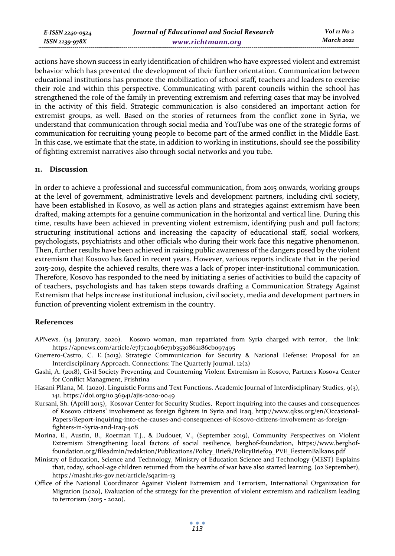*E-ISSN 2240-0524 ISSN 2239-978X*

actions have shown success in early identification of children who have expressed violent and extremist behavior which has prevented the development of their further orientation. Communication between educational institutions has promote the mobilization of school staff, teachers and leaders to exercise their role and within this perspective. Communicating with parent councils within the school has strengthened the role of the family in preventing extremism and referring cases that may be involved in the activity of this field. Strategic communication is also considered an important action for extremist groups, as well. Based on the stories of returnees from the conflict zone in Syria, we understand that communication through social media and YouTube was one of the strategic forms of communication for recruiting young people to become part of the armed conflict in the Middle East. In this case, we estimate that the state, in addition to working in institutions, should see the possibility of fighting extremist narratives also through social networks and you tube.

### **11. Discussion**

In order to achieve a professional and successful communication, from 2015 onwards, working groups at the level of government, administrative levels and development partners, including civil society, have been established in Kosovo, as well as action plans and strategies against extremism have been drafted, making attempts for a genuine communication in the horizontal and vertical line. During this time, results have been achieved in preventing violent extremism, identifying push and pull factors; structuring institutional actions and increasing the capacity of educational staff, social workers, psychologists, psychiatrists and other officials who during their work face this negative phenomenon. Then, further results have been achieved in raising public awareness of the dangers posed by the violent extremism that Kosovo has faced in recent years. However, various reports indicate that in the period 2015-2019, despite the achieved results, there was a lack of proper inter-institutional communication. Therefore, Kosovo has responded to the need by initiating a series of activities to build the capacity of of teachers, psychologists and has taken steps towards drafting a Communication Strategy Against Extremism that helps increase institutional inclusion, civil society, media and development partners in function of preventing violent extremism in the country.

#### **References**

- APNews. (14 Janurary, 2020). Kosovo woman, man repatriated from Syria charged with terror, the link: https://apnews.com/article/e7f7c204b6e71b3530862186cb097495
- Guerrero-Castro, C. E. (2013). Strategic Communication for Security & National Defense: Proposal for an Interdisciplinary Approach. Connections: The Quarterly Journal. 12(2)
- Gashi, A. (2018), Civil Society Preventing and Counterning Violent Extremism in Kosovo, Partners Kosova Center for Conflict Managment, Prishtina
- Hasani Pllana, M. (2020). Linguistic Forms and Text Functions. Academic Journal of Interdisciplinary Studies, 9(3), 141. https://doi.org/10.36941/ajis-2020-0049
- Kursani, Sh. (Aprill 2015), Kosovar Center for Security Studies, Report inquiring into the causes and consequences of Kosovo citizens' involvement as foreign fighters in Syria and Iraq, http://www.qkss.org/en/Occasional-Papers/Report-inquiring-into-the-causes-and-consequences-of-Kosovo-citizens-involvement-as-foreignfighters-in-Syria-and-Iraq-408
- Morina, E., Austin, B., Roetman T.J., & Dudouet, V., (September 2019), Community Perspectives on Violent Extremism Strengthening local factors of social resilience, berghof-foundation, https://www.berghoffoundation.org/fileadmin/redaktion/Publications/Policy\_Briefs/PolicyBrief09\_PVE\_ËesternBalkans.pdf
- Ministry of Education, Science and Technology, Ministry of Education Science and Technology (MEST) Explains that, today, school-age children returned from the hearths of war have also started learning, (02 September), https://masht.rks-gov.net/article/sqarim-13
- Office of the National Coordinator Against Violent Extremism and Terrorism, International Organization for Migration (2020), Evaluation of the strategy for the prevention of violent extremism and radicalism leading to terrorism (2015 - 2020).